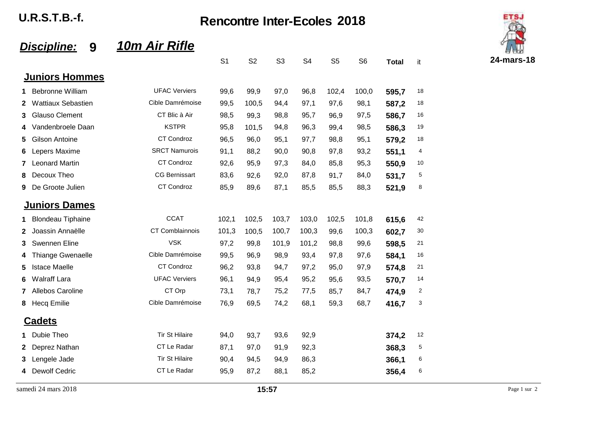**U.R.S.T.B.-f. Rencontre Inter-Ecoles 2018**



## *Discipline:* **9** *10m Air Rifle*

|                       |                           |                       | ا ب   | ےں    | ບບ    |       | ບບ    | ບບ    | i Oldi | п  |
|-----------------------|---------------------------|-----------------------|-------|-------|-------|-------|-------|-------|--------|----|
| <b>Juniors Hommes</b> |                           |                       |       |       |       |       |       |       |        |    |
| 1                     | <b>Bebronne William</b>   | <b>UFAC Verviers</b>  | 99,6  | 99,9  | 97,0  | 96,8  | 102,4 | 100,0 | 595,7  | 18 |
| 2                     | <b>Wattiaux Sebastien</b> | Cible Damrémoise      | 99,5  | 100,5 | 94,4  | 97,1  | 97,6  | 98,1  | 587,2  | 18 |
| 3                     | <b>Glauso Clement</b>     | CT Blic à Air         | 98,5  | 99,3  | 98,8  | 95,7  | 96,9  | 97,5  | 586,7  | 16 |
| 4                     | Vandenbroele Daan         | <b>KSTPR</b>          | 95,8  | 101,5 | 94,8  | 96,3  | 99,4  | 98,5  | 586.3  | 19 |
| 5                     | <b>Gilson Antoine</b>     | CT Condroz            | 96,5  | 96,0  | 95,1  | 97,7  | 98,8  | 95,1  | 579,2  | 18 |
| 6                     | Lepers Maxime             | <b>SRCT Namurois</b>  | 91,1  | 88,2  | 90,0  | 90,8  | 97,8  | 93,2  | 551,1  | 4  |
| 7                     | <b>Leonard Martin</b>     | CT Condroz            | 92,6  | 95,9  | 97,3  | 84,0  | 85,8  | 95,3  | 550,9  | 10 |
| 8                     | Decoux Theo               | <b>CG Bernissart</b>  | 83,6  | 92,6  | 92,0  | 87,8  | 91,7  | 84,0  | 531,7  | 5  |
| 9                     | De Groote Julien          | CT Condroz            | 85,9  | 89,6  | 87,1  | 85,5  | 85,5  | 88,3  | 521,9  | 8  |
|                       | <b>Juniors Dames</b>      |                       |       |       |       |       |       |       |        |    |
| 1.                    | <b>Blondeau Tiphaine</b>  | <b>CCAT</b>           | 102,1 | 102,5 | 103,7 | 103,0 | 102,5 | 101,8 | 615,6  | 42 |
| 2                     | Joassin Annaëlle          | CT Comblainnois       | 101,3 | 100,5 | 100,7 | 100,3 | 99,6  | 100,3 | 602,7  | 30 |
| 3                     | Swennen Eline             | <b>VSK</b>            | 97,2  | 99,8  | 101,9 | 101,2 | 98,8  | 99,6  | 598,5  | 21 |
| 4                     | <b>Thiange Gwenaelle</b>  | Cible Damrémoise      | 99,5  | 96,9  | 98,9  | 93,4  | 97,8  | 97,6  | 584,1  | 16 |
| 5                     | <b>Istace Maelle</b>      | CT Condroz            | 96,2  | 93,8  | 94,7  | 97,2  | 95,0  | 97,9  | 574,8  | 21 |
| 6                     | <b>Walraff Lara</b>       | <b>UFAC Verviers</b>  | 96,1  | 94,9  | 95,4  | 95,2  | 95,6  | 93,5  | 570.7  | 14 |
| 7                     | Allebos Caroline          | CT Orp                | 73,1  | 78,7  | 75,2  | 77,5  | 85,7  | 84,7  | 474,9  | 2  |
| 8                     | <b>Hecq Emilie</b>        | Cible Damrémoise      | 76,9  | 69,5  | 74,2  | 68,1  | 59,3  | 68,7  | 416,7  | 3  |
|                       | <b>Cadets</b>             |                       |       |       |       |       |       |       |        |    |
| 1                     | Dubie Theo                | <b>Tir St Hilaire</b> | 94,0  | 93,7  | 93,6  | 92,9  |       |       | 374,2  | 12 |
| 2                     | Deprez Nathan             | CT Le Radar           | 87,1  | 97,0  | 91,9  | 92,3  |       |       | 368,3  | 5  |
| 3                     | Lengele Jade              | <b>Tir St Hilaire</b> | 90,4  | 94,5  | 94,9  | 86,3  |       |       | 366,1  | 6  |
| 4                     | <b>Dewolf Cedric</b>      | CT Le Radar           | 95,9  | 87,2  | 88,1  | 85,2  |       |       | 356,4  | 6  |
|                       |                           |                       |       |       |       |       |       |       |        |    |